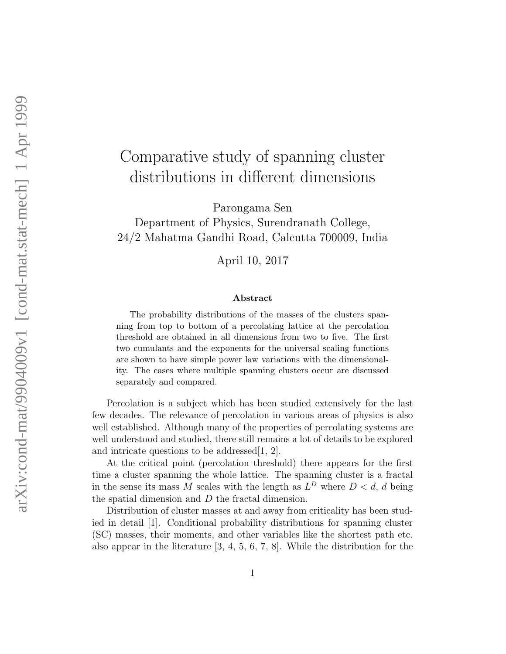## Comparative study of spanning cluster distributions in different dimensions

Parongama Sen

Department of Physics, Surendranath College, 24/2 Mahatma Gandhi Road, Calcutta 700009, India

April 10, 2017

## Abstract

The probability distributions of the masses of the clusters spanning from top to bottom of a percolating lattice at the percolation threshold are obtained in all dimensions from two to five. The first two cumulants and the exponents for the universal scaling functions are shown to have simple power law variations with the dimensionality. The cases where multiple spanning clusters occur are discussed separately and compared.

Percolation is a subject which has been studied extensively for the last few decades. The relevance of percolation in various areas of physics is also well established. Although many of the properties of percolating systems are well understood and studied, there still remains a lot of details to be explored and intricate questions to be addressed[1, 2].

At the critical point (percolation threshold) there appears for the first time a cluster spanning the whole lattice. The spanning cluster is a fractal in the sense its mass M scales with the length as  $L^D$  where  $D < d$ , d being the spatial dimension and D the fractal dimension.

Distribution of cluster masses at and away from criticality has been studied in detail [1]. Conditional probability distributions for spanning cluster (SC) masses, their moments, and other variables like the shortest path etc. also appear in the literature [3, 4, 5, 6, 7, 8]. While the distribution for the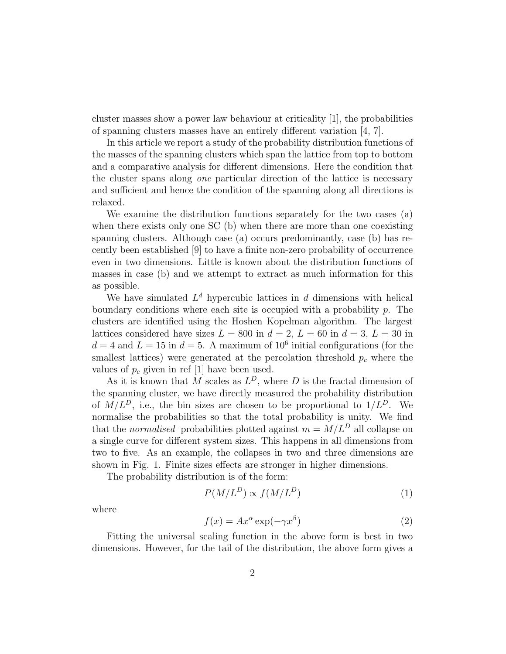cluster masses show a power law behaviour at criticality [1], the probabilities of spanning clusters masses have an entirely different variation [4, 7].

In this article we report a study of the probability distribution functions of the masses of the spanning clusters which span the lattice from top to bottom and a comparative analysis for different dimensions. Here the condition that the cluster spans along one particular direction of the lattice is necessary and sufficient and hence the condition of the spanning along all directions is relaxed.

We examine the distribution functions separately for the two cases (a) when there exists only one SC (b) when there are more than one coexisting spanning clusters. Although case (a) occurs predominantly, case (b) has recently been established [9] to have a finite non-zero probability of occurrence even in two dimensions. Little is known about the distribution functions of masses in case (b) and we attempt to extract as much information for this as possible.

We have simulated  $L^d$  hypercubic lattices in d dimensions with helical boundary conditions where each site is occupied with a probability p. The clusters are identified using the Hoshen Kopelman algorithm. The largest lattices considered have sizes  $L = 800$  in  $d = 2$ ,  $L = 60$  in  $d = 3$ ,  $L = 30$  in  $d = 4$  and  $L = 15$  in  $d = 5$ . A maximum of  $10^6$  initial configurations (for the smallest lattices) were generated at the percolation threshold  $p_c$  where the values of  $p_c$  given in ref [1] have been used.

As it is known that M scales as  $L^D$ , where D is the fractal dimension of the spanning cluster, we have directly measured the probability distribution of  $M/L<sup>D</sup>$ , i.e., the bin sizes are chosen to be proportional to  $1/L<sup>D</sup>$ . We normalise the probabilities so that the total probability is unity. We find that the normalised probabilities plotted against  $m = M/L^D$  all collapse on a single curve for different system sizes. This happens in all dimensions from two to five. As an example, the collapses in two and three dimensions are shown in Fig. 1. Finite sizes effects are stronger in higher dimensions.

The probability distribution is of the form:

$$
P(M/L^D) \propto f(M/L^D) \tag{1}
$$

where

$$
f(x) = Ax^{\alpha} \exp(-\gamma x^{\beta})
$$
 (2)

Fitting the universal scaling function in the above form is best in two dimensions. However, for the tail of the distribution, the above form gives a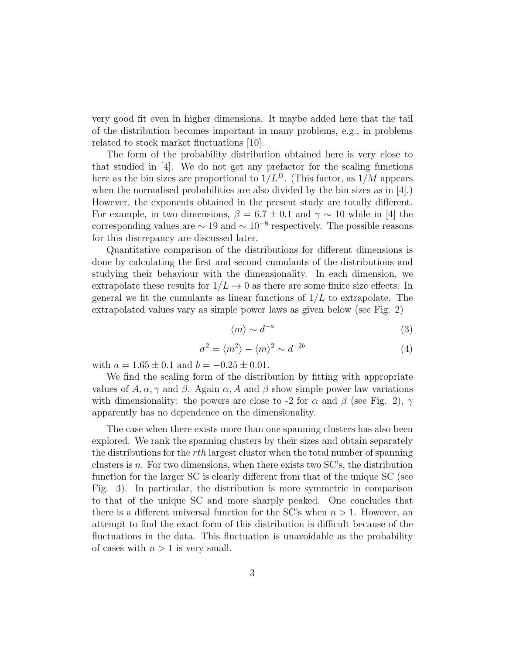very good fit even in higher dimensions. It maybe added here that the tail of the distribution becomes important in many problems, e.g., in problems related to stock market fluctuations [10].

The form of the probability distribution obtained here is very close to that studied in [4]. We do not get any prefactor for the scaling functions here as the bin sizes are proportional to  $1/L<sup>D</sup>$ . (This factor, as  $1/M$  appears when the normalised probabilities are also divided by the bin sizes as in [4].) However, the exponents obtained in the present study are totally different. For example, in two dimensions,  $\beta = 6.7 \pm 0.1$  and  $\gamma \sim 10$  while in [4] the corresponding values are  $\sim 19$  and  $\sim 10^{-8}$  respectively. The possible reasons for this discrepancy are discussed later.

Quantitative comparison of the distributions for different dimensions is done by calculating the first and second cumulants of the distributions and studying their behaviour with the dimensionality. In each dimension, we extrapolate these results for  $1/L \rightarrow 0$  as there are some finite size effects. In general we fit the cumulants as linear functions of  $1/L$  to extrapolate. The extrapolated values vary as simple power laws as given below (see Fig. 2)

$$
\langle m \rangle \sim d^{-a} \tag{3}
$$

$$
\sigma^2 = \langle m^2 \rangle - \langle m \rangle^2 \sim d^{-2b} \tag{4}
$$

with  $a = 1.65 \pm 0.1$  and  $b = -0.25 \pm 0.01$ .

We find the scaling form of the distribution by fitting with appropriate values of  $A, \alpha, \gamma$  and  $\beta$ . Again  $\alpha, A$  and  $\beta$  show simple power law variations with dimensionality: the powers are close to -2 for  $\alpha$  and  $\beta$  (see Fig. 2),  $\gamma$ apparently has no dependence on the dimensionality.

The case when there exists more than one spanning clusters has also been explored. We rank the spanning clusters by their sizes and obtain separately the distributions for the rth largest cluster when the total number of spanning clusters is n. For two dimensions, when there exists two  $SC$ 's, the distribution function for the larger SC is clearly different from that of the unique SC (see Fig. 3). In particular, the distribution is more symmetric in comparison to that of the unique SC and more sharply peaked. One concludes that there is a different universal function for the SC's when  $n > 1$ . However, an attempt to find the exact form of this distribution is difficult because of the fluctuations in the data. This fluctuation is unavoidable as the probability of cases with  $n > 1$  is very small.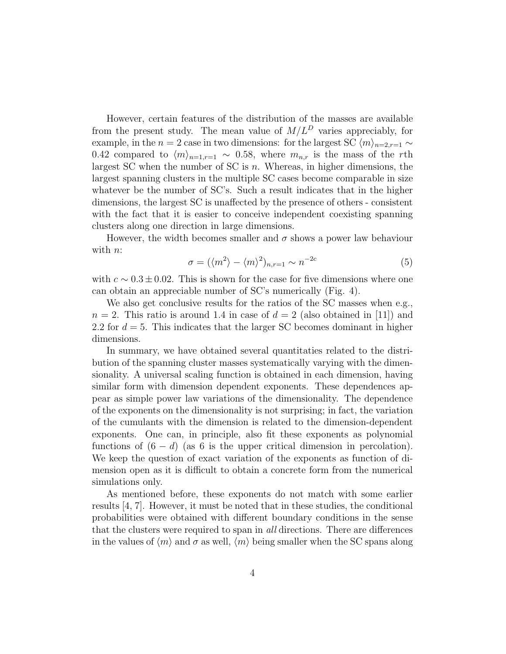However, certain features of the distribution of the masses are available from the present study. The mean value of  $M/L^D$  varies appreciably, for example, in the  $n = 2$  case in two dimensions: for the largest SC  $\langle m \rangle_{n=2, r=1} \sim$ 0.42 compared to  $\langle m \rangle_{n=1,r=1} \sim 0.58$ , where  $m_{n,r}$  is the mass of the rth largest SC when the number of SC is  $n$ . Whereas, in higher dimensions, the largest spanning clusters in the multiple SC cases become comparable in size whatever be the number of SC's. Such a result indicates that in the higher dimensions, the largest SC is unaffected by the presence of others - consistent with the fact that it is easier to conceive independent coexisting spanning clusters along one direction in large dimensions.

However, the width becomes smaller and  $\sigma$  shows a power law behaviour with *n*:

$$
\sigma = (\langle m^2 \rangle - \langle m \rangle^2)_{n,r=1} \sim n^{-2c} \tag{5}
$$

with  $c \sim 0.3 \pm 0.02$ . This is shown for the case for five dimensions where one can obtain an appreciable number of SC's numerically (Fig. 4).

We also get conclusive results for the ratios of the SC masses when e.g.,  $n = 2$ . This ratio is around 1.4 in case of  $d = 2$  (also obtained in [11]) and 2.2 for  $d = 5$ . This indicates that the larger SC becomes dominant in higher dimensions.

In summary, we have obtained several quantitaties related to the distribution of the spanning cluster masses systematically varying with the dimensionality. A universal scaling function is obtained in each dimension, having similar form with dimension dependent exponents. These dependences appear as simple power law variations of the dimensionality. The dependence of the exponents on the dimensionality is not surprising; in fact, the variation of the cumulants with the dimension is related to the dimension-dependent exponents. One can, in principle, also fit these exponents as polynomial functions of  $(6 - d)$  (as 6 is the upper critical dimension in percolation). We keep the question of exact variation of the exponents as function of dimension open as it is difficult to obtain a concrete form from the numerical simulations only.

As mentioned before, these exponents do not match with some earlier results [4, 7]. However, it must be noted that in these studies, the conditional probabilities were obtained with different boundary conditions in the sense that the clusters were required to span in all directions. There are differences in the values of  $\langle m \rangle$  and  $\sigma$  as well,  $\langle m \rangle$  being smaller when the SC spans along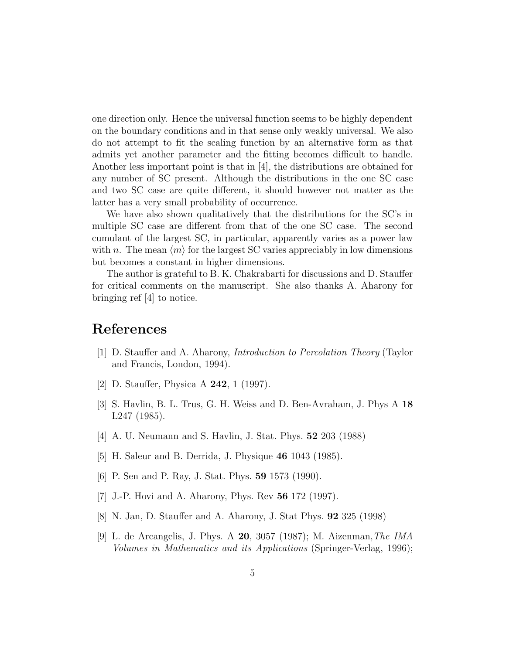one direction only. Hence the universal function seems to be highly dependent on the boundary conditions and in that sense only weakly universal. We also do not attempt to fit the scaling function by an alternative form as that admits yet another parameter and the fitting becomes difficult to handle. Another less important point is that in [4], the distributions are obtained for any number of SC present. Although the distributions in the one SC case and two SC case are quite different, it should however not matter as the latter has a very small probability of occurrence.

We have also shown qualitatively that the distributions for the SC's in multiple SC case are different from that of the one SC case. The second cumulant of the largest SC, in particular, apparently varies as a power law with n. The mean  $\langle m \rangle$  for the largest SC varies appreciably in low dimensions but becomes a constant in higher dimensions.

The author is grateful to B. K. Chakrabarti for discussions and D. Stauffer for critical comments on the manuscript. She also thanks A. Aharony for bringing ref [4] to notice.

## References

- [1] D. Stauffer and A. Aharony, Introduction to Percolation Theory (Taylor and Francis, London, 1994).
- [2] D. Stauffer, Physica A 242, 1 (1997).
- [3] S. Havlin, B. L. Trus, G. H. Weiss and D. Ben-Avraham, J. Phys A 18 L247 (1985).
- [4] A. U. Neumann and S. Havlin, J. Stat. Phys. 52 203 (1988)
- [5] H. Saleur and B. Derrida, J. Physique 46 1043 (1985).
- [6] P. Sen and P. Ray, J. Stat. Phys. 59 1573 (1990).
- [7] J.-P. Hovi and A. Aharony, Phys. Rev 56 172 (1997).
- [8] N. Jan, D. Stauffer and A. Aharony, J. Stat Phys. 92 325 (1998)
- [9] L. de Arcangelis, J. Phys. A 20, 3057 (1987); M. Aizenman, The IMA Volumes in Mathematics and its Applications (Springer-Verlag, 1996);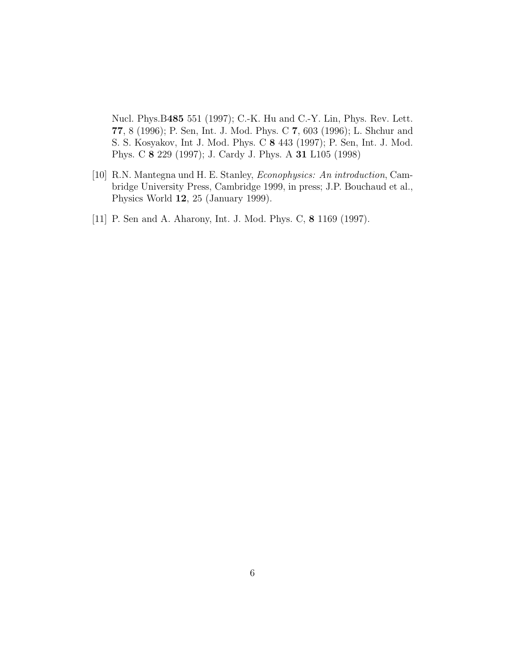Nucl. Phys.B485 551 (1997); C.-K. Hu and C.-Y. Lin, Phys. Rev. Lett. 77, 8 (1996); P. Sen, Int. J. Mod. Phys. C 7, 603 (1996); L. Shchur and S. S. Kosyakov, Int J. Mod. Phys. C 8 443 (1997); P. Sen, Int. J. Mod. Phys. C 8 229 (1997); J. Cardy J. Phys. A 31 L105 (1998)

- [10] R.N. Mantegna und H. E. Stanley, Econophysics: An introduction, Cambridge University Press, Cambridge 1999, in press; J.P. Bouchaud et al., Physics World 12, 25 (January 1999).
- [11] P. Sen and A. Aharony, Int. J. Mod. Phys. C, 8 1169 (1997).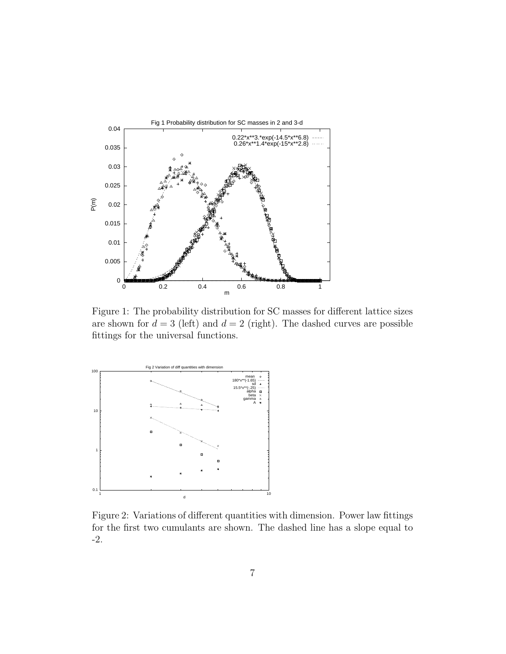

Figure 1: The probability distribution for SC masses for different lattice sizes are shown for  $d = 3$  (left) and  $d = 2$  (right). The dashed curves are possible fittings for the universal functions.



Figure 2: Variations of different quantities with dimension. Power law fittings for the first two cumulants are shown. The dashed line has a slope equal to -2.